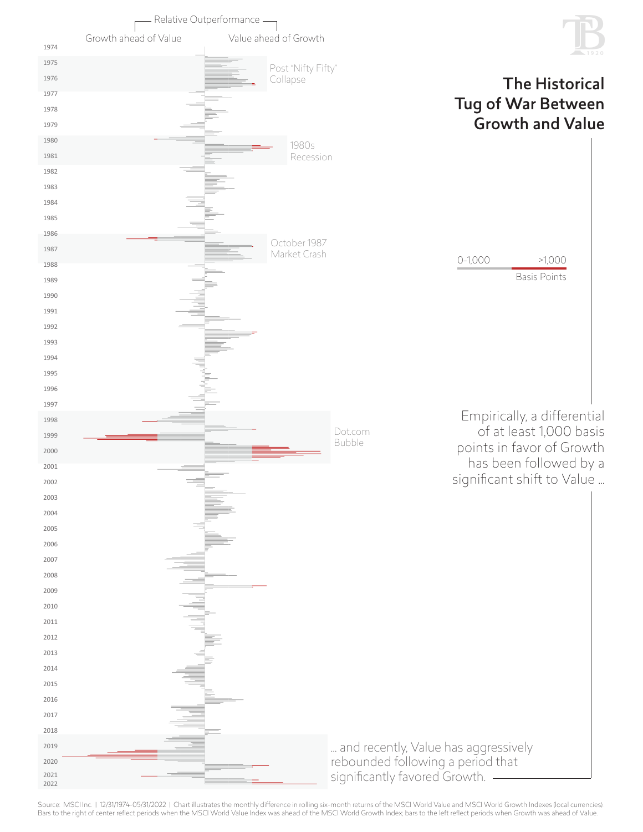

Source: MSCI Inc. | 12/31/1974-05/31/2022 | Chart illustrates the monthly difference in rolling six-month returns of the MSCI World Value and MSCI World Growth Indexes (local currencies).<br>Bars to the right of center reflec